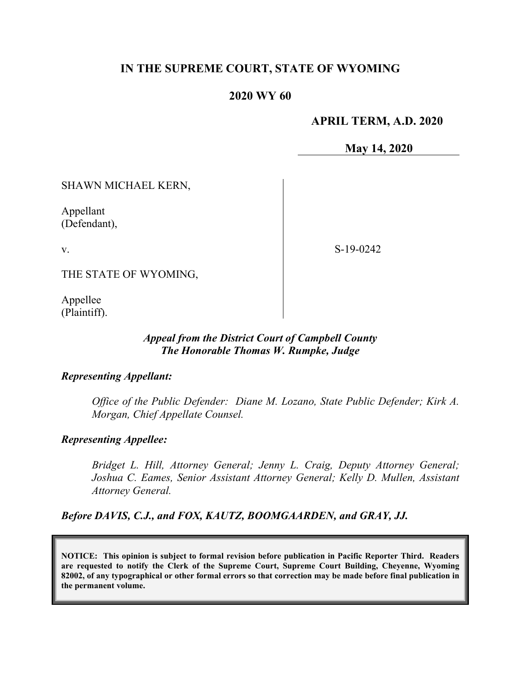# **IN THE SUPREME COURT, STATE OF WYOMING**

# **2020 WY 60**

# **APRIL TERM, A.D. 2020**

**May 14, 2020**

SHAWN MICHAEL KERN,

Appellant (Defendant),

v.

S-19-0242

THE STATE OF WYOMING,

Appellee (Plaintiff).

### *Appeal from the District Court of Campbell County The Honorable Thomas W. Rumpke, Judge*

#### *Representing Appellant:*

*Office of the Public Defender: Diane M. Lozano, State Public Defender; Kirk A. Morgan, Chief Appellate Counsel.*

#### *Representing Appellee:*

*Bridget L. Hill, Attorney General; Jenny L. Craig, Deputy Attorney General; Joshua C. Eames, Senior Assistant Attorney General; Kelly D. Mullen, Assistant Attorney General.*

*Before DAVIS, C.J., and FOX, KAUTZ, BOOMGAARDEN, and GRAY, JJ.*

**NOTICE: This opinion is subject to formal revision before publication in Pacific Reporter Third. Readers are requested to notify the Clerk of the Supreme Court, Supreme Court Building, Cheyenne, Wyoming 82002, of any typographical or other formal errors so that correction may be made before final publication in the permanent volume.**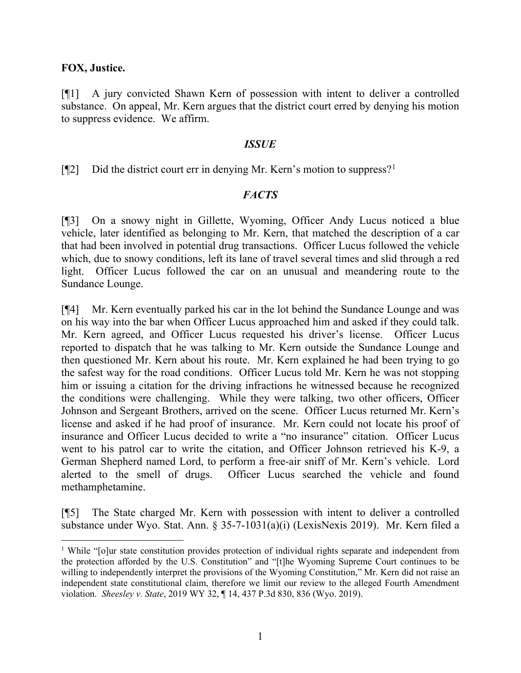#### **FOX, Justice.**

[¶1] A jury convicted Shawn Kern of possession with intent to deliver a controlled substance. On appeal, Mr. Kern argues that the district court erred by denying his motion to suppress evidence. We affirm.

### *ISSUE*

 $[$ [2] Did the district court err in denying Mr. Kern's motion to suppress?<sup>[1](#page-1-0)</sup>

# *FACTS*

[¶3] On a snowy night in Gillette, Wyoming, Officer Andy Lucus noticed a blue vehicle, later identified as belonging to Mr. Kern, that matched the description of a car that had been involved in potential drug transactions. Officer Lucus followed the vehicle which, due to snowy conditions, left its lane of travel several times and slid through a red light. Officer Lucus followed the car on an unusual and meandering route to the Sundance Lounge.

[¶4] Mr. Kern eventually parked his car in the lot behind the Sundance Lounge and was on his way into the bar when Officer Lucus approached him and asked if they could talk. Mr. Kern agreed, and Officer Lucus requested his driver's license. Officer Lucus reported to dispatch that he was talking to Mr. Kern outside the Sundance Lounge and then questioned Mr. Kern about his route. Mr. Kern explained he had been trying to go the safest way for the road conditions. Officer Lucus told Mr. Kern he was not stopping him or issuing a citation for the driving infractions he witnessed because he recognized the conditions were challenging. While they were talking, two other officers, Officer Johnson and Sergeant Brothers, arrived on the scene. Officer Lucus returned Mr. Kern's license and asked if he had proof of insurance. Mr. Kern could not locate his proof of insurance and Officer Lucus decided to write a "no insurance" citation. Officer Lucus went to his patrol car to write the citation, and Officer Johnson retrieved his K-9, a German Shepherd named Lord, to perform a free-air sniff of Mr. Kern's vehicle. Lord alerted to the smell of drugs. Officer Lucus searched the vehicle and found methamphetamine.

[¶5] The State charged Mr. Kern with possession with intent to deliver a controlled substance under Wyo. Stat. Ann. § 35-7-1031(a)(i) (LexisNexis 2019). Mr. Kern filed a

<span id="page-1-0"></span><sup>&</sup>lt;sup>1</sup> While "[o]ur state constitution provides protection of individual rights separate and independent from the protection afforded by the U.S. Constitution" and "[t]he Wyoming Supreme Court continues to be willing to independently interpret the provisions of the Wyoming Constitution," Mr. Kern did not raise an independent state constitutional claim, therefore we limit our review to the alleged Fourth Amendment violation. *Sheesley v. State*, 2019 WY 32, ¶ 14, 437 P.3d 830, 836 (Wyo. 2019).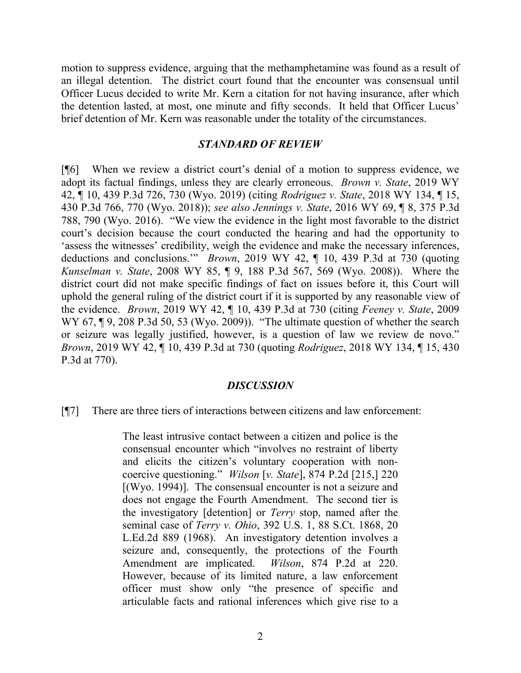motion to suppress evidence, arguing that the methamphetamine was found as a result of an illegal detention. The district court found that the encounter was consensual until Officer Lucus decided to write Mr. Kern a citation for not having insurance, after which the detention lasted, at most, one minute and fifty seconds. It held that Officer Lucus' brief detention of Mr. Kern was reasonable under the totality of the circumstances.

#### *STANDARD OF REVIEW*

[¶6] When we review a district court's denial of a motion to suppress evidence, we adopt its factual findings, unless they are clearly erroneous. *Brown v. State*, 2019 WY 42, ¶ 10, 439 P.3d 726, 730 (Wyo. 2019) (citing *Rodriguez v. State*, 2018 WY 134, ¶ 15, 430 P.3d 766, 770 (Wyo. 2018)); *see also Jennings v. State*, 2016 WY 69, ¶ 8, 375 P.3d 788, 790 (Wyo. 2016). "We view the evidence in the light most favorable to the district court's decision because the court conducted the hearing and had the opportunity to 'assess the witnesses' credibility, weigh the evidence and make the necessary inferences, deductions and conclusions.'" *Brown*, 2019 WY 42, ¶ 10, 439 P.3d at 730 (quoting *Kunselman v. State*, 2008 WY 85, ¶ 9, 188 P.3d 567, 569 (Wyo. 2008)). Where the district court did not make specific findings of fact on issues before it, this Court will uphold the general ruling of the district court if it is supported by any reasonable view of the evidence. *Brown*, 2019 WY 42, ¶ 10, 439 P.3d at 730 (citing *Feeney v. State*, 2009 WY 67, ¶9, 208 P.3d 50, 53 (Wyo. 2009)). "The ultimate question of whether the search or seizure was legally justified, however, is a question of law we review de novo." *Brown*, 2019 WY 42, ¶ 10, 439 P.3d at 730 (quoting *Rodriguez*, 2018 WY 134, ¶ 15, 430 P.3d at 770).

#### *DISCUSSION*

[¶7] There are three tiers of interactions between citizens and law enforcement:

The least intrusive contact between a citizen and police is the consensual encounter which "involves no restraint of liberty and elicits the citizen's voluntary cooperation with noncoercive questioning." *Wilson* [*v. State*], 874 P.2d [215,] 220 [(Wyo. 1994)]. The consensual encounter is not a seizure and does not engage the Fourth Amendment. The second tier is the investigatory [detention] or *Terry* stop, named after the seminal case of *Terry v. Ohio*, 392 U.S. 1, 88 S.Ct. 1868, 20 L.Ed.2d 889 (1968). An investigatory detention involves a seizure and, consequently, the protections of the Fourth Amendment are implicated. *Wilson*, 874 P.2d at 220. However, because of its limited nature, a law enforcement officer must show only "the presence of specific and articulable facts and rational inferences which give rise to a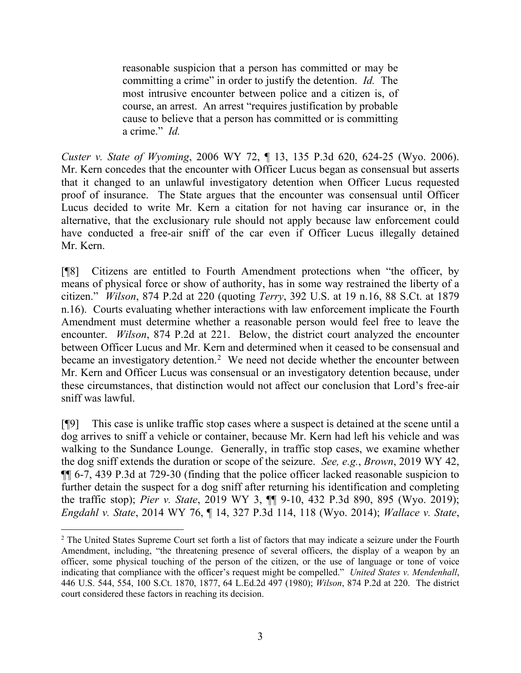reasonable suspicion that a person has committed or may be committing a crime" in order to justify the detention. *Id.* The most intrusive encounter between police and a citizen is, of course, an arrest. An arrest "requires justification by probable cause to believe that a person has committed or is committing a crime." *Id.*

*Custer v. State of Wyoming*, 2006 WY 72, ¶ 13, 135 P.3d 620, 624-25 (Wyo. 2006). Mr. Kern concedes that the encounter with Officer Lucus began as consensual but asserts that it changed to an unlawful investigatory detention when Officer Lucus requested proof of insurance. The State argues that the encounter was consensual until Officer Lucus decided to write Mr. Kern a citation for not having car insurance or, in the alternative, that the exclusionary rule should not apply because law enforcement could have conducted a free-air sniff of the car even if Officer Lucus illegally detained Mr. Kern.

[¶8] Citizens are entitled to Fourth Amendment protections when "the officer, by means of physical force or show of authority, has in some way restrained the liberty of a citizen." *Wilson*, 874 P.2d at 220 (quoting *Terry*, 392 U.S. at 19 n.16, 88 S.Ct. at 1879 n.16). Courts evaluating whether interactions with law enforcement implicate the Fourth Amendment must determine whether a reasonable person would feel free to leave the encounter. *Wilson*, 874 P.2d at 221. Below, the district court analyzed the encounter between Officer Lucus and Mr. Kern and determined when it ceased to be consensual and became an investigatory detention.<sup>[2](#page-3-0)</sup> We need not decide whether the encounter between Mr. Kern and Officer Lucus was consensual or an investigatory detention because, under these circumstances, that distinction would not affect our conclusion that Lord's free-air sniff was lawful.

[¶9] This case is unlike traffic stop cases where a suspect is detained at the scene until a dog arrives to sniff a vehicle or container, because Mr. Kern had left his vehicle and was walking to the Sundance Lounge. Generally, in traffic stop cases, we examine whether the dog sniff extends the duration or scope of the seizure. *See, e.g.*, *Brown*, 2019 WY 42, ¶¶ 6-7, 439 P.3d at 729-30 (finding that the police officer lacked reasonable suspicion to further detain the suspect for a dog sniff after returning his identification and completing the traffic stop); *Pier v. State*, 2019 WY 3, ¶¶ 9-10, 432 P.3d 890, 895 (Wyo. 2019); *Engdahl v. State*, 2014 WY 76, ¶ 14, 327 P.3d 114, 118 (Wyo. 2014); *Wallace v. State*,

<span id="page-3-0"></span><sup>&</sup>lt;sup>2</sup> The United States Supreme Court set forth a list of factors that may indicate a seizure under the Fourth Amendment, including, "the threatening presence of several officers, the display of a weapon by an officer, some physical touching of the person of the citizen, or the use of language or tone of voice indicating that compliance with the officer's request might be compelled." *United States v. Mendenhall*, 446 U.S. 544, 554, 100 S.Ct. 1870, 1877, 64 L.Ed.2d 497 (1980); *Wilson*, 874 P.2d at 220. The district court considered these factors in reaching its decision.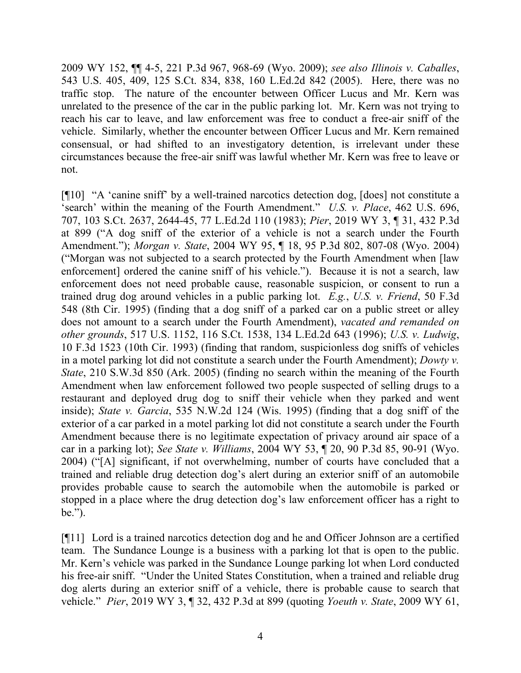2009 WY 152, ¶¶ 4-5, 221 P.3d 967, 968-69 (Wyo. 2009); *see also Illinois v. Caballes*, 543 U.S. 405, 409, 125 S.Ct. 834, 838, 160 L.Ed.2d 842 (2005). Here, there was no traffic stop. The nature of the encounter between Officer Lucus and Mr. Kern was unrelated to the presence of the car in the public parking lot. Mr. Kern was not trying to reach his car to leave, and law enforcement was free to conduct a free-air sniff of the vehicle. Similarly, whether the encounter between Officer Lucus and Mr. Kern remained consensual, or had shifted to an investigatory detention, is irrelevant under these circumstances because the free-air sniff was lawful whether Mr. Kern was free to leave or not.

[¶10] "A 'canine sniff' by a well-trained narcotics detection dog, [does] not constitute a 'search' within the meaning of the Fourth Amendment." *U.S. v. Place*, 462 U.S. 696, 707, 103 S.Ct. 2637, 2644-45, 77 L.Ed.2d 110 (1983); *Pier*, 2019 WY 3, ¶ 31, 432 P.3d at 899 ("A dog sniff of the exterior of a vehicle is not a search under the Fourth Amendment."); *Morgan v. State*, 2004 WY 95, ¶ 18, 95 P.3d 802, 807-08 (Wyo. 2004) ("Morgan was not subjected to a search protected by the Fourth Amendment when [law enforcement] ordered the canine sniff of his vehicle."). Because it is not a search, law enforcement does not need probable cause, reasonable suspicion, or consent to run a trained drug dog around vehicles in a public parking lot. *E.g.*, *U.S. v. Friend*, 50 F.3d 548 (8th Cir. 1995) (finding that a dog sniff of a parked car on a public street or alley does not amount to a search under the Fourth Amendment), *vacated and remanded on other grounds*, 517 U.S. 1152, 116 S.Ct. 1538, 134 L.Ed.2d 643 (1996); *U.S. v. Ludwig*, 10 F.3d 1523 (10th Cir. 1993) (finding that random, suspicionless dog sniffs of vehicles in a motel parking lot did not constitute a search under the Fourth Amendment); *Dowty v. State*, 210 S.W.3d 850 (Ark. 2005) (finding no search within the meaning of the Fourth Amendment when law enforcement followed two people suspected of selling drugs to a restaurant and deployed drug dog to sniff their vehicle when they parked and went inside); *State v. Garcia*, 535 N.W.2d 124 (Wis. 1995) (finding that a dog sniff of the exterior of a car parked in a motel parking lot did not constitute a search under the Fourth Amendment because there is no legitimate expectation of privacy around air space of a car in a parking lot); *See State v. Williams*, 2004 WY 53, ¶ 20, 90 P.3d 85, 90-91 (Wyo. 2004) ("[A] significant, if not overwhelming, number of courts have concluded that a trained and reliable drug detection dog's alert during an exterior sniff of an automobile provides probable cause to search the automobile when the automobile is parked or stopped in a place where the drug detection dog's law enforcement officer has a right to be.").

[¶11] Lord is a trained narcotics detection dog and he and Officer Johnson are a certified team. The Sundance Lounge is a business with a parking lot that is open to the public. Mr. Kern's vehicle was parked in the Sundance Lounge parking lot when Lord conducted his free-air sniff. "Under the United States Constitution, when a trained and reliable drug dog alerts during an exterior sniff of a vehicle, there is probable cause to search that vehicle." *Pier*, 2019 WY 3, ¶ 32, 432 P.3d at 899 (quoting *Yoeuth v. State*, 2009 WY 61,